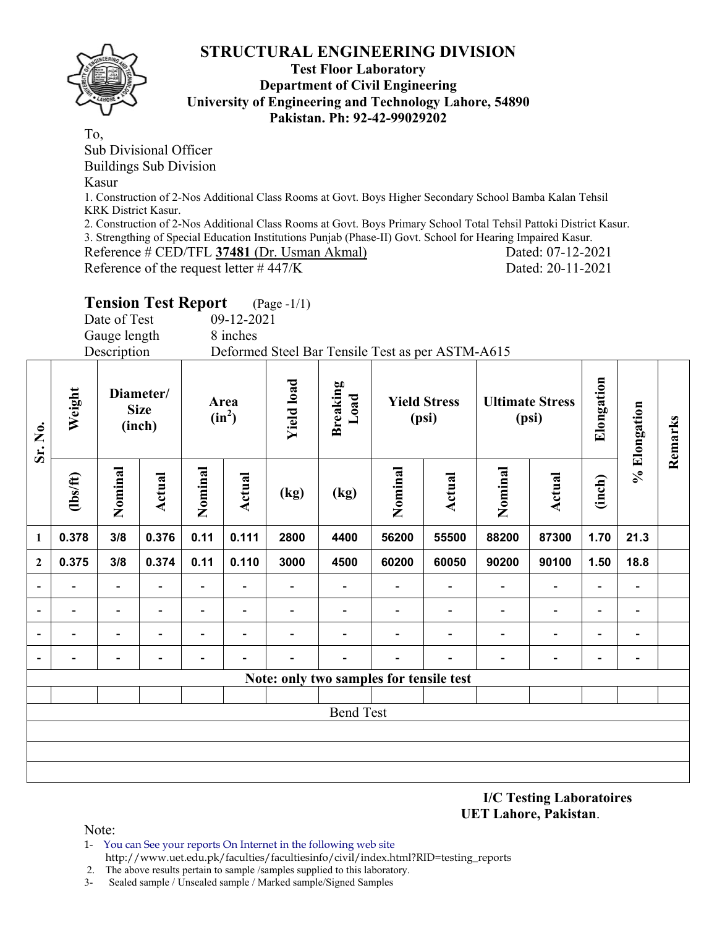

#### **Test Floor Laboratory Department of Civil Engineering University of Engineering and Technology Lahore, 54890 Pakistan. Ph: 92-42-99029202**

To,

Sub Divisional Officer

Buildings Sub Division

#### Kasur

1. Construction of 2-Nos Additional Class Rooms at Govt. Boys Higher Secondary School Bamba Kalan Tehsil KRK District Kasur.

2. Construction of 2-Nos Additional Class Rooms at Govt. Boys Primary School Total Tehsil Pattoki District Kasur.

3. Strengthing of Special Education Institutions Punjab (Phase-II) Govt. School for Hearing Impaired Kasur. Reference # CED/TFL **37481** (Dr. Usman Akmal) Dated: 07-12-2021

Reference of the request letter  $\# 447/K$  Dated: 20-11-2021

# **Tension Test Report** (Page -1/1)

Date of Test 09-12-2021 Gauge length 8 inches

Description Deformed Steel Bar Tensile Test as per ASTM-A615

| Sr. No.        | Weight                   |                          | Diameter/<br><b>Size</b><br>(inch) |                          | Area<br>$(in^2)$         | <b>Yield load</b>        | <b>Breaking</b><br>Load                 |                          | <b>Yield Stress</b><br>(psi) |                          | <b>Ultimate Stress</b><br>(psi) | Elongation               | % Elongation             | Remarks |
|----------------|--------------------------|--------------------------|------------------------------------|--------------------------|--------------------------|--------------------------|-----------------------------------------|--------------------------|------------------------------|--------------------------|---------------------------------|--------------------------|--------------------------|---------|
|                | $\frac{2}{10}$           | Nominal                  | Actual                             | Nominal                  | Actual                   | (kg)                     | (kg)                                    | Nominal                  | <b>Actual</b>                | Nominal                  | Actual                          | (inch)                   |                          |         |
| $\mathbf{1}$   | 0.378                    | 3/8                      | 0.376                              | 0.11                     | 0.111                    | 2800                     | 4400                                    | 56200                    | 55500                        | 88200                    | 87300                           | 1.70                     | 21.3                     |         |
| $\mathbf{2}$   | 0.375                    | 3/8                      | 0.374                              | 0.11                     | 0.110                    | 3000                     | 4500                                    | 60200                    | 60050                        | 90200                    | 90100                           | 1.50                     | 18.8                     |         |
| $\blacksquare$ | $\overline{\phantom{0}}$ | $\overline{\phantom{0}}$ | $\overline{a}$                     | Ξ.                       |                          |                          |                                         | $\overline{\phantom{a}}$ | $\overline{\phantom{0}}$     | $\overline{\phantom{0}}$ | $\overline{\phantom{a}}$        | $\overline{\phantom{a}}$ | $\overline{\phantom{a}}$ |         |
|                | $\overline{\phantom{0}}$ | -                        | $\overline{\phantom{0}}$           | -                        | $\overline{\phantom{a}}$ | $\overline{\phantom{0}}$ | $\overline{\phantom{0}}$                | $\overline{\phantom{0}}$ | ۰                            | -                        | $\overline{\phantom{a}}$        | $\overline{\phantom{a}}$ | $\blacksquare$           |         |
|                | $\overline{\phantom{0}}$ | $\overline{\phantom{0}}$ | $\overline{\phantom{a}}$           | $\overline{\phantom{0}}$ | $\blacksquare$           | $\blacksquare$           |                                         |                          | $\overline{\phantom{0}}$     | $\overline{\phantom{0}}$ | $\overline{\phantom{a}}$        | $\overline{\phantom{a}}$ | $\overline{\phantom{a}}$ |         |
|                |                          |                          |                                    |                          | $\overline{\phantom{a}}$ |                          |                                         | $\overline{\phantom{0}}$ |                              |                          | -                               | $\overline{\phantom{0}}$ | $\blacksquare$           |         |
|                |                          |                          |                                    |                          |                          |                          | Note: only two samples for tensile test |                          |                              |                          |                                 |                          |                          |         |
|                |                          |                          |                                    |                          |                          |                          |                                         |                          |                              |                          |                                 |                          |                          |         |
|                |                          |                          |                                    |                          |                          |                          | <b>Bend Test</b>                        |                          |                              |                          |                                 |                          |                          |         |
|                |                          |                          |                                    |                          |                          |                          |                                         |                          |                              |                          |                                 |                          |                          |         |
|                |                          |                          |                                    |                          |                          |                          |                                         |                          |                              |                          |                                 |                          |                          |         |
|                |                          |                          |                                    |                          |                          |                          |                                         |                          |                              |                          |                                 |                          |                          |         |

**I/C Testing Laboratoires UET Lahore, Pakistan**.

Note:

1- You can See your reports On Internet in the following web site http://www.uet.edu.pk/faculties/facultiesinfo/civil/index.html?RID=testing\_reports

2. The above results pertain to sample /samples supplied to this laboratory.

3- Sealed sample / Unsealed sample / Marked sample/Signed Samples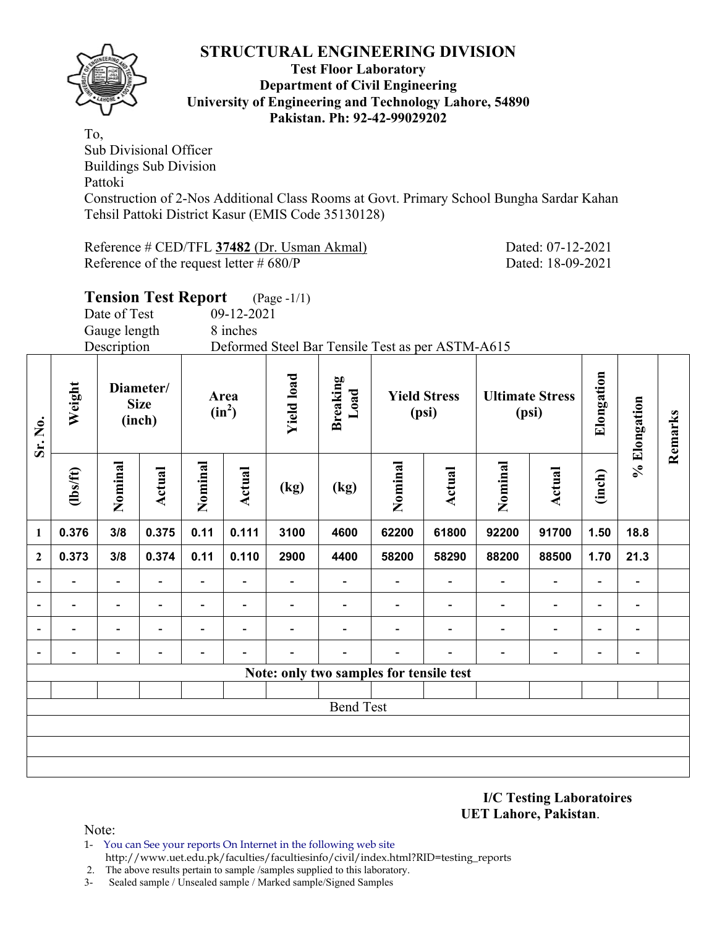

#### **Test Floor Laboratory Department of Civil Engineering University of Engineering and Technology Lahore, 54890 Pakistan. Ph: 92-42-99029202**

To, Sub Divisional Officer Buildings Sub Division Pattoki Construction of 2-Nos Additional Class Rooms at Govt. Primary School Bungha Sardar Kahan Tehsil Pattoki District Kasur (EMIS Code 35130128)

Reference # CED/TFL **37482** (Dr. Usman Akmal) Dated: 07-12-2021 Reference of the request letter # 680/P Dated: 18-09-2021

**Remarks** 

Remarks

|                  |                                     |              | <b>Tension Test Report</b>         |         |                                       | $(Page - 1/1)$ |                                                  |         |                              |                          |                                 |                |              |
|------------------|-------------------------------------|--------------|------------------------------------|---------|---------------------------------------|----------------|--------------------------------------------------|---------|------------------------------|--------------------------|---------------------------------|----------------|--------------|
|                  |                                     | Date of Test |                                    |         | 09-12-2021                            |                |                                                  |         |                              |                          |                                 |                |              |
|                  |                                     | Gauge length |                                    |         | 8 inches                              |                |                                                  |         |                              |                          |                                 |                |              |
|                  |                                     | Description  |                                    |         |                                       |                | Deformed Steel Bar Tensile Test as per ASTM-A615 |         |                              |                          |                                 |                |              |
| Sr. No.          | Weight                              |              | Diameter/<br><b>Size</b><br>(inch) |         | <b>Yield load</b><br>Area<br>$(in^2)$ |                | Breaking<br>Load                                 |         | <b>Yield Stress</b><br>(psi) |                          | <b>Ultimate Stress</b><br>(psi) | Elongation     | % Elongation |
|                  | Nominal<br>(1bs/ft)<br>0.376<br>3/8 |              | Actual                             | Nominal | Actual                                | (kg)           | (kg)                                             | Nominal | Actual                       | Nominal                  | <b>Actual</b>                   | (inch)         |              |
| $\mathbf{1}$     |                                     |              | 0.375                              | 0.11    | 0.111                                 | 3100           | 4600                                             | 62200   | 61800                        | 92200                    | 91700                           | 1.50           | 18.8         |
| $\boldsymbol{2}$ | 0.373                               | 3/8          | 0.374                              | 0.11    | 0.110                                 | 2900           | 4400                                             | 58200   | 58290                        | 88200                    | 88500                           | 1.70           | 21.3         |
|                  |                                     |              |                                    |         |                                       |                |                                                  |         |                              |                          |                                 |                |              |
|                  |                                     |              |                                    |         |                                       |                |                                                  |         |                              | $\overline{\phantom{0}}$ |                                 | $\blacksquare$ |              |
|                  |                                     |              |                                    |         |                                       |                |                                                  |         |                              |                          |                                 |                |              |
|                  |                                     |              |                                    |         |                                       |                |                                                  |         |                              |                          |                                 |                |              |
|                  |                                     |              |                                    |         |                                       |                | Note: only two samples for tensile test          |         |                              |                          |                                 |                |              |
|                  |                                     |              |                                    |         |                                       |                |                                                  |         |                              |                          |                                 |                |              |
|                  |                                     |              |                                    |         |                                       |                | <b>Bend Test</b>                                 |         |                              |                          |                                 |                |              |
|                  |                                     |              |                                    |         |                                       |                |                                                  |         |                              |                          |                                 |                |              |
|                  |                                     |              |                                    |         |                                       |                |                                                  |         |                              |                          |                                 |                |              |

**I/C Testing Laboratoires UET Lahore, Pakistan**.

- 1- You can See your reports On Internet in the following web site http://www.uet.edu.pk/faculties/facultiesinfo/civil/index.html?RID=testing\_reports
- 2. The above results pertain to sample /samples supplied to this laboratory.
- 3- Sealed sample / Unsealed sample / Marked sample/Signed Samples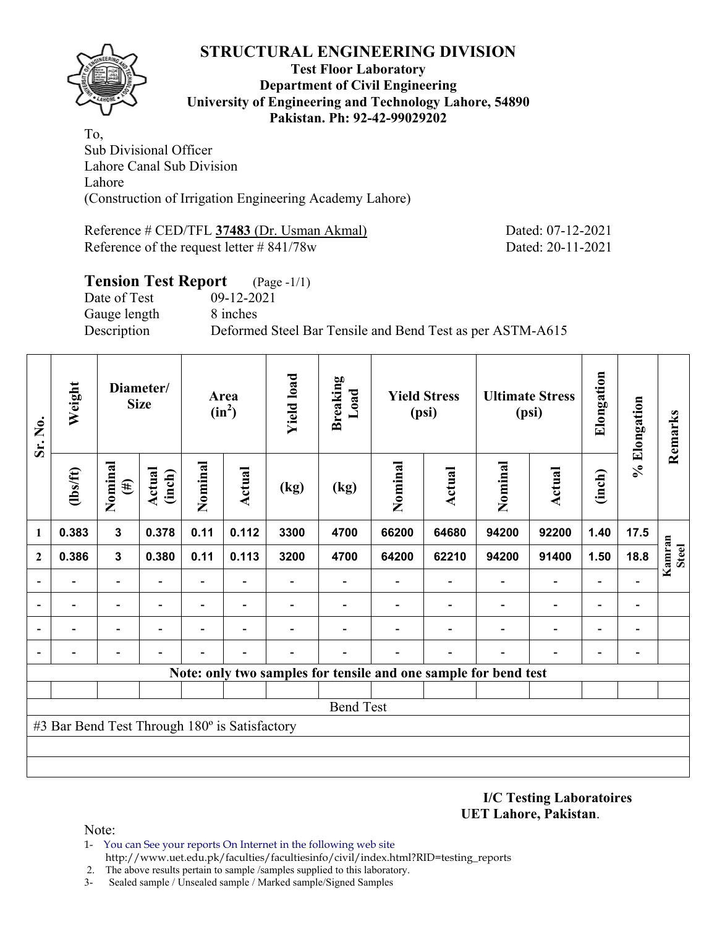

#### **Test Floor Laboratory Department of Civil Engineering University of Engineering and Technology Lahore, 54890 Pakistan. Ph: 92-42-99029202**

To, Sub Divisional Officer Lahore Canal Sub Division Lahore (Construction of Irrigation Engineering Academy Lahore)

Reference # CED/TFL **37483** (Dr. Usman Akmal) Dated: 07-12-2021 Reference of the request letter # 841/78w Dated: 20-11-2021

### **Tension Test Report** (Page -1/1) Date of Test 09-12-2021 Gauge length 8 inches Description Deformed Steel Bar Tensile and Bend Test as per ASTM-A615

| Sr. No.      | Weight                                        |                          | Diameter/<br><b>Size</b> |                          | Area<br>$(in^2)$ | <b>Yield load</b> | <b>Breaking</b><br>Load |         | <b>Yield Stress</b><br>(psi)                                    |         | <b>Ultimate Stress</b><br>(psi) | Elongation     | % Elongation   | Remarks                |
|--------------|-----------------------------------------------|--------------------------|--------------------------|--------------------------|------------------|-------------------|-------------------------|---------|-----------------------------------------------------------------|---------|---------------------------------|----------------|----------------|------------------------|
|              | (1bs/ft)                                      | Nominal<br>$(\#)$        | Actual<br>(inch)         | Nominal                  | Actual           | (kg)              | (kg)                    | Nominal | <b>Actual</b>                                                   | Nominal | <b>Actual</b>                   | (inch)         |                |                        |
| 1            | 0.383                                         | $\mathbf{3}$             | 0.378                    | 0.11                     | 0.112            | 3300              | 4700                    | 66200   | 64680                                                           | 94200   | 92200                           | 1.40           | 17.5           |                        |
| $\mathbf{2}$ | 0.386                                         | $\mathbf{3}$             | 0.380                    | 0.11                     | 0.113            | 3200              | 4700                    | 64200   | 62210                                                           | 94200   | 91400                           | 1.50           | 18.8           | Kamran<br><b>Steel</b> |
|              |                                               |                          |                          |                          |                  |                   |                         |         |                                                                 |         | $\overline{\phantom{0}}$        |                |                |                        |
|              |                                               | $\overline{\phantom{0}}$ |                          | $\overline{\phantom{0}}$ |                  |                   |                         |         |                                                                 |         | $\overline{\phantom{0}}$        | $\blacksquare$ | $\blacksquare$ |                        |
|              |                                               |                          |                          |                          |                  |                   |                         |         |                                                                 |         | $\overline{\phantom{0}}$        |                |                |                        |
|              |                                               |                          |                          |                          |                  |                   |                         |         |                                                                 |         |                                 |                |                |                        |
|              |                                               |                          |                          |                          |                  |                   |                         |         | Note: only two samples for tensile and one sample for bend test |         |                                 |                |                |                        |
|              |                                               |                          |                          |                          |                  |                   |                         |         |                                                                 |         |                                 |                |                |                        |
|              |                                               |                          |                          |                          |                  |                   | <b>Bend Test</b>        |         |                                                                 |         |                                 |                |                |                        |
|              | #3 Bar Bend Test Through 180° is Satisfactory |                          |                          |                          |                  |                   |                         |         |                                                                 |         |                                 |                |                |                        |
|              |                                               |                          |                          |                          |                  |                   |                         |         |                                                                 |         |                                 |                |                |                        |
|              |                                               |                          |                          |                          |                  |                   |                         |         |                                                                 |         |                                 |                |                |                        |

**I/C Testing Laboratoires UET Lahore, Pakistan**.

- 1- You can See your reports On Internet in the following web site http://www.uet.edu.pk/faculties/facultiesinfo/civil/index.html?RID=testing\_reports
- 2. The above results pertain to sample /samples supplied to this laboratory.
- 3- Sealed sample / Unsealed sample / Marked sample/Signed Samples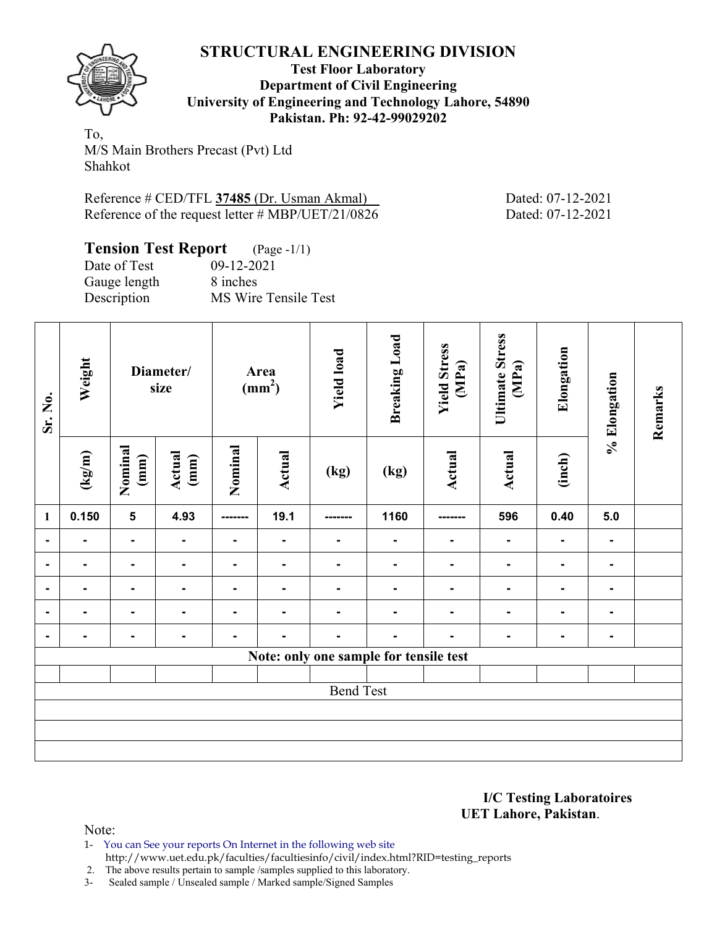

**Test Floor Laboratory Department of Civil Engineering University of Engineering and Technology Lahore, 54890 Pakistan. Ph: 92-42-99029202** 

To, M/S Main Brothers Precast (Pvt) Ltd Shahkot

Reference # CED/TFL **37485** (Dr. Usman Akmal) Dated: 07-12-2021 Reference of the request letter # MBP/UET/21/0826 Dated: 07-12-2021

| <b>Tension Test Report</b> (Page -1/1) |                      |
|----------------------------------------|----------------------|
| Date of Test                           | $09 - 12 - 2021$     |
| Gauge length                           | 8 inches             |
| Description                            | MS Wire Tensile Test |

| Sr. No.        | Weight |                         | Diameter/<br>size |                | Area<br>$\text{(mm}^2)$ | <b>Yield load</b>                      | <b>Breaking Load</b> | <b>Yield Stress</b><br>(MPa) | <b>Ultimate Stress</b><br>(MPa) | Elongation     | % Elongation   | Remarks |
|----------------|--------|-------------------------|-------------------|----------------|-------------------------|----------------------------------------|----------------------|------------------------------|---------------------------------|----------------|----------------|---------|
|                | (kg/m) | Nominal<br>(mm)         | Actual<br>(mm)    | Nominal        | <b>Actual</b>           | (kg)                                   | (kg)                 | <b>Actual</b>                | Actual                          | (inch)         |                |         |
| $\mathbf{1}$   | 0.150  | $\overline{\mathbf{5}}$ | 4.93              | --------       | 19.1                    | --------                               | 1160                 | -------                      | 596                             | 0.40           | 5.0            |         |
| $\blacksquare$ | -      | $\blacksquare$          | $\blacksquare$    | $\blacksquare$ | $\blacksquare$          | $\blacksquare$                         | $\blacksquare$       | $\blacksquare$               | $\blacksquare$                  | $\blacksquare$ | $\blacksquare$ |         |
|                |        |                         | $\blacksquare$    | ۰.             |                         |                                        | $\blacksquare$       |                              |                                 | $\blacksquare$ | ۰              |         |
|                |        | $\blacksquare$          |                   |                |                         |                                        |                      |                              |                                 |                |                |         |
|                |        | $\blacksquare$          |                   |                |                         |                                        |                      |                              |                                 |                |                |         |
| $\blacksquare$ |        | Ξ.                      | $\blacksquare$    |                |                         |                                        | ٠                    |                              |                                 |                | $\blacksquare$ |         |
|                |        |                         |                   |                |                         | Note: only one sample for tensile test |                      |                              |                                 |                |                |         |
|                |        |                         |                   |                |                         |                                        |                      |                              |                                 |                |                |         |
|                |        |                         |                   |                |                         | <b>Bend Test</b>                       |                      |                              |                                 |                |                |         |
|                |        |                         |                   |                |                         |                                        |                      |                              |                                 |                |                |         |
|                |        |                         |                   |                |                         |                                        |                      |                              |                                 |                |                |         |
|                |        |                         |                   |                |                         |                                        |                      |                              |                                 |                |                |         |

**I/C Testing Laboratoires UET Lahore, Pakistan**.

Note:

1- You can See your reports On Internet in the following web site http://www.uet.edu.pk/faculties/facultiesinfo/civil/index.html?RID=testing\_reports

2. The above results pertain to sample /samples supplied to this laboratory.

3- Sealed sample / Unsealed sample / Marked sample/Signed Samples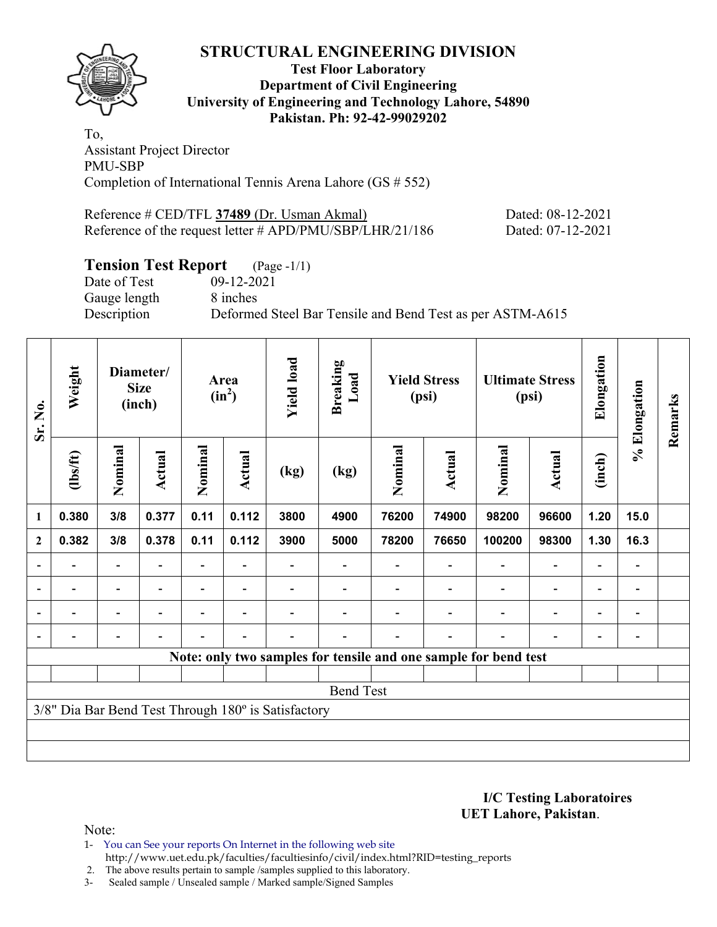

#### **Test Floor Laboratory Department of Civil Engineering University of Engineering and Technology Lahore, 54890 Pakistan. Ph: 92-42-99029202**

To, Assistant Project Director PMU-SBP Completion of International Tennis Arena Lahore (GS # 552)

Reference # CED/TFL **37489** (Dr. Usman Akmal) Dated: 08-12-2021 Reference of the request letter # APD/PMU/SBP/LHR/21/186 Dated: 07-12-2021

## **Tension Test Report** (Page -1/1)

Date of Test 09-12-2021 Gauge length 8 inches

Description Deformed Steel Bar Tensile and Bend Test as per ASTM-A615

| Sr. No.        | Weight   |                          | Diameter/<br><b>Size</b><br>(inch) |                | Area<br>$(in^2)$ | <b>Yield load</b>                                   | <b>Breaking</b><br>Load |         | <b>Yield Stress</b><br>(psi) |                                                                 | <b>Ultimate Stress</b><br>(psi) | Elongation               | % Elongation             | Remarks |
|----------------|----------|--------------------------|------------------------------------|----------------|------------------|-----------------------------------------------------|-------------------------|---------|------------------------------|-----------------------------------------------------------------|---------------------------------|--------------------------|--------------------------|---------|
|                | (1bs/ft) | Nominal                  | Actual                             | Nominal        | <b>Actual</b>    | (kg)                                                | (kg)                    | Nominal | Actual                       | Nominal                                                         | Actual                          | (inch)                   |                          |         |
| 1              | 0.380    | 3/8                      | 0.377                              | 0.11           | 0.112            | 3800                                                | 4900                    | 76200   | 74900                        | 98200                                                           | 96600                           | 1.20                     | 15.0                     |         |
| $\mathbf{2}$   | 0.382    | 3/8                      | 0.378                              | 0.11           | 0.112            | 3900                                                | 5000                    | 78200   | 76650                        | 100200                                                          | 98300                           | 1.30                     | 16.3                     |         |
|                |          | $\overline{\phantom{0}}$ |                                    |                |                  |                                                     |                         |         |                              |                                                                 | $\overline{\phantom{0}}$        | $\overline{\phantom{0}}$ |                          |         |
| $\blacksquare$ | -        | $\blacksquare$           | $\blacksquare$                     |                | $\blacksquare$   |                                                     |                         |         |                              | $\blacksquare$                                                  | $\overline{a}$                  | $\overline{\phantom{0}}$ | $\overline{\phantom{0}}$ |         |
|                | -        | $\blacksquare$           |                                    | $\blacksquare$ | $\blacksquare$   |                                                     |                         |         |                              | ۰                                                               | $\overline{a}$                  | $\overline{\phantom{0}}$ |                          |         |
|                |          | -                        |                                    |                | $\blacksquare$   |                                                     |                         |         | $\overline{\phantom{0}}$     |                                                                 | $\overline{a}$                  | $\overline{a}$           |                          |         |
|                |          |                          |                                    |                |                  |                                                     |                         |         |                              | Note: only two samples for tensile and one sample for bend test |                                 |                          |                          |         |
|                |          |                          |                                    |                |                  |                                                     |                         |         |                              |                                                                 |                                 |                          |                          |         |
|                |          |                          |                                    |                |                  |                                                     | <b>Bend Test</b>        |         |                              |                                                                 |                                 |                          |                          |         |
|                |          |                          |                                    |                |                  | 3/8" Dia Bar Bend Test Through 180° is Satisfactory |                         |         |                              |                                                                 |                                 |                          |                          |         |
|                |          |                          |                                    |                |                  |                                                     |                         |         |                              |                                                                 |                                 |                          |                          |         |
|                |          |                          |                                    |                |                  |                                                     |                         |         |                              |                                                                 |                                 |                          |                          |         |

**I/C Testing Laboratoires UET Lahore, Pakistan**.

- 1- You can See your reports On Internet in the following web site http://www.uet.edu.pk/faculties/facultiesinfo/civil/index.html?RID=testing\_reports
- 2. The above results pertain to sample /samples supplied to this laboratory.
- 3- Sealed sample / Unsealed sample / Marked sample/Signed Samples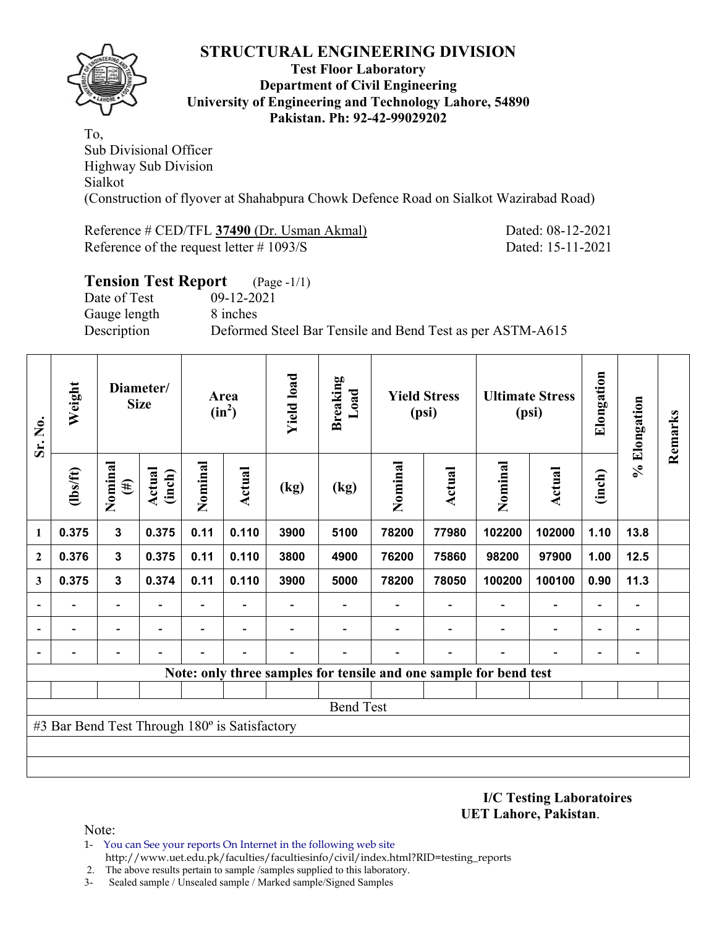

#### **Test Floor Laboratory Department of Civil Engineering University of Engineering and Technology Lahore, 54890 Pakistan. Ph: 92-42-99029202**

To, Sub Divisional Officer Highway Sub Division Sialkot (Construction of flyover at Shahabpura Chowk Defence Road on Sialkot Wazirabad Road)

Reference # CED/TFL **37490** (Dr. Usman Akmal) Dated: 08-12-2021 Reference of the request letter # 1093/S Dated: 15-11-2021

| <b>Tension Test Report</b> (Page -1/1) |                                                           |
|----------------------------------------|-----------------------------------------------------------|
| Date of Test                           | 09-12-2021                                                |
| Gauge length                           | 8 inches                                                  |
| Description                            | Deformed Steel Bar Tensile and Bend Test as per ASTM-A615 |
|                                        |                                                           |

| Sr. No.                  | Weight                                        |                          | Diameter/<br><b>Size</b> |                          | Area<br>$(in^2)$ | <b>Yield load</b> | <b>Breaking</b><br>Load |                                                                   | <b>Yield Stress</b><br>(psi) |                          | <b>Ultimate Stress</b><br>(psi) | Elongation               | % Elongation                 | Remarks |
|--------------------------|-----------------------------------------------|--------------------------|--------------------------|--------------------------|------------------|-------------------|-------------------------|-------------------------------------------------------------------|------------------------------|--------------------------|---------------------------------|--------------------------|------------------------------|---------|
|                          | (1bs/ft)                                      | Nominal<br>$(\#)$        | <b>Actual</b><br>(inch)  | Nominal                  | Actual           | (kg)              | (kg)                    | Nominal                                                           | Actual                       | Nominal                  | <b>Actual</b>                   | (inch)                   |                              |         |
| 1                        | 0.375                                         | 3                        | 0.375                    | 0.11                     | 0.110            | 3900              | 5100                    | 78200                                                             | 77980                        | 102200                   | 102000                          | 1.10                     | 13.8                         |         |
| $\mathbf{2}$             | 0.376                                         | $\mathbf{3}$             | 0.375                    | 0.11                     | 0.110            | 3800              | 4900                    | 76200                                                             | 75860                        | 98200                    | 97900                           | 1.00                     | 12.5                         |         |
| 3                        | 0.375                                         | $\mathbf{3}$             | 0.374                    | 0.11                     | 0.110            | 3900              | 5000                    | 78200                                                             | 78050                        | 100200                   | 100100                          | 0.90                     | 11.3                         |         |
| $\overline{\phantom{0}}$ |                                               | $\blacksquare$           |                          | Ξ.                       |                  |                   |                         |                                                                   |                              |                          | $\overline{\phantom{0}}$        | $\overline{\phantom{a}}$ | $\blacksquare$               |         |
|                          |                                               | $\overline{\phantom{0}}$ |                          | $\overline{\phantom{0}}$ | $\blacksquare$   |                   |                         |                                                                   |                              | $\overline{\phantom{0}}$ | $\overline{\phantom{0}}$        | $\overline{\phantom{a}}$ | $\qquad \qquad \blacksquare$ |         |
|                          |                                               | $\overline{\phantom{0}}$ |                          |                          |                  |                   |                         |                                                                   |                              |                          |                                 | $\overline{\phantom{a}}$ | $\overline{\phantom{0}}$     |         |
|                          |                                               |                          |                          |                          |                  |                   |                         | Note: only three samples for tensile and one sample for bend test |                              |                          |                                 |                          |                              |         |
|                          |                                               |                          |                          |                          |                  |                   |                         |                                                                   |                              |                          |                                 |                          |                              |         |
|                          |                                               |                          |                          |                          |                  |                   | <b>Bend Test</b>        |                                                                   |                              |                          |                                 |                          |                              |         |
|                          | #3 Bar Bend Test Through 180° is Satisfactory |                          |                          |                          |                  |                   |                         |                                                                   |                              |                          |                                 |                          |                              |         |
|                          |                                               |                          |                          |                          |                  |                   |                         |                                                                   |                              |                          |                                 |                          |                              |         |
|                          |                                               |                          |                          |                          |                  |                   |                         |                                                                   |                              |                          |                                 |                          |                              |         |

**I/C Testing Laboratoires UET Lahore, Pakistan**.

- 1- You can See your reports On Internet in the following web site http://www.uet.edu.pk/faculties/facultiesinfo/civil/index.html?RID=testing\_reports
- 2. The above results pertain to sample /samples supplied to this laboratory.
- 3- Sealed sample / Unsealed sample / Marked sample/Signed Samples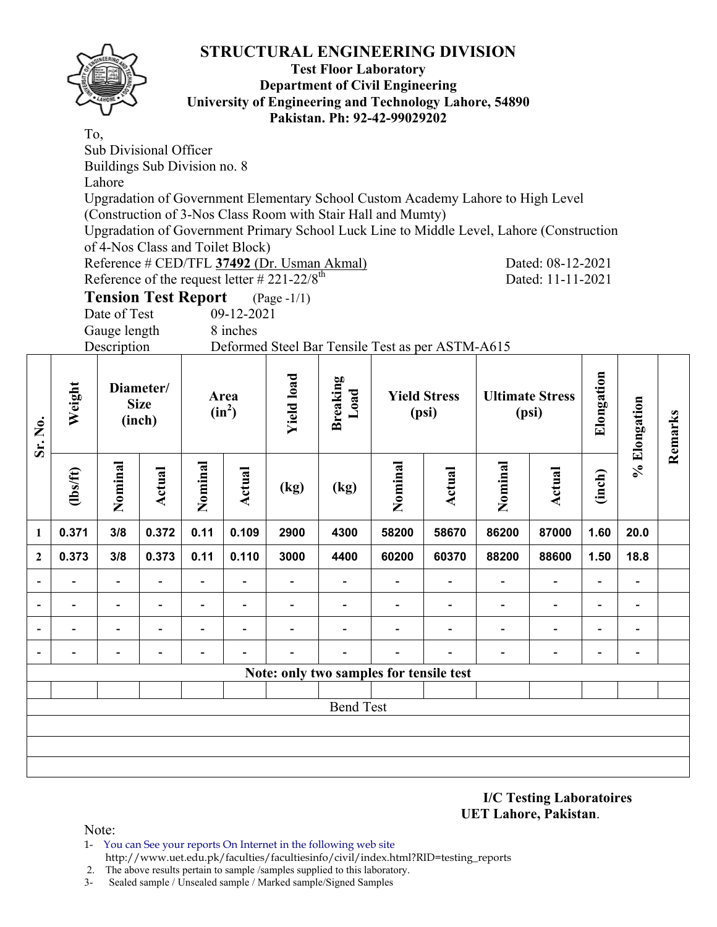

**Sr. No.** 

#### **Test Floor Laboratory Department of Civil Engineering University of Engineering and Technology Lahore, 54890 Pakistan. Ph: 92-42-99029202**

To, Sub Divisional Officer Buildings Sub Division no. 8 Lahore Upgradation of Government Elementary School Custom Academy Lahore to High Level (Construction of 3-Nos Class Room with Stair Hall and Mumty) Upgradation of Government Primary School Luck Line to Middle Level, Lahore (Construction of 4-Nos Class and Toilet Block) Reference # CED/TFL **37492** (Dr. Usman Akmal) Dated: 08-12-2021 Reference of the request letter  $#221-22/8^{\text{th}}$  Dated: 11-11-2021 **Tension Test Report** (Page -1/1) Date of Test 09-12-2021 Gauge length 8 inches Description Deformed Steel Bar Tensile Test as per ASTM-A615 **Elongation Yield load**  Elongation **Yield load Breaking Weight Diameter/ Load Area Yield Stress Ultimate Stress % Elongation**  % Elongation **Size**   $(in^2)$ **(psi) (psi) Remarks**  Remarks **(inch) Nominal Nominal Nominal Nominal**  Nominal Nominal **(lbs/ft) Actual**  Nomina Nomina **Actual (inch) Actual Actual (kg) (kg) 1 0.371 3/8 0.372 0.11 0.109 2900 4300 58200 58670 86200 87000 1.60 20.0 2 0.373 3/8 0.373 0.11 0.110 3000 4400 60200 60370 88200 88600 1.50 18.8 - - - - - - - - - - - - - - - - - - - - - - - - - - - - - - - - - - - - - - - - - - - - - - - - - - - - - - - - Note: only two samples for tensile test** Bend Test

> **I/C Testing Laboratoires UET Lahore, Pakistan**.

- 1- You can See your reports On Internet in the following web site http://www.uet.edu.pk/faculties/facultiesinfo/civil/index.html?RID=testing\_reports
- 2. The above results pertain to sample /samples supplied to this laboratory.
- 3- Sealed sample / Unsealed sample / Marked sample/Signed Samples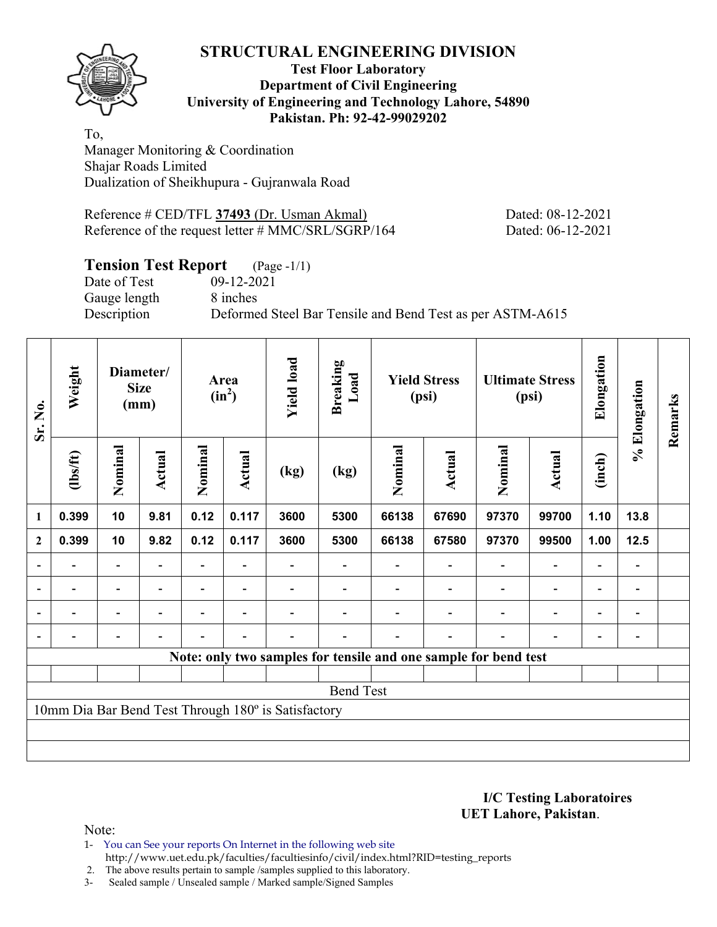**Test Floor Laboratory Department of Civil Engineering University of Engineering and Technology Lahore, 54890 Pakistan. Ph: 92-42-99029202** 

To, Manager Monitoring & Coordination Shajar Roads Limited Dualization of Sheikhupura - Gujranwala Road

Reference # CED/TFL **37493** (Dr. Usman Akmal) Dated: 08-12-2021 Reference of the request letter # MMC/SRL/SGRP/164 Dated: 06-12-2021

## **Tension Test Report** (Page -1/1)

Gauge length 8 inches

Date of Test 09-12-2021 Description Deformed Steel Bar Tensile and Bend Test as per ASTM-A615

| Sr. No.                  | Weight                   |                          | Diameter/<br><b>Size</b><br>(mm) |         | Area<br>$(in^2)$         | <b>Yield load</b>                                   | <b>Breaking</b><br>Load                                         |         | <b>Yield Stress</b><br>(psi) |                          | <b>Ultimate Stress</b><br>(psi) | Elongation     | % Elongation                 | Remarks |
|--------------------------|--------------------------|--------------------------|----------------------------------|---------|--------------------------|-----------------------------------------------------|-----------------------------------------------------------------|---------|------------------------------|--------------------------|---------------------------------|----------------|------------------------------|---------|
|                          | $\frac{2}{10}$           | Nominal                  | Actual                           | Nominal | Actual                   | (kg)                                                | (kg)                                                            | Nominal | Actual                       | Nominal                  | Actual                          | (inch)         |                              |         |
| 1                        | 0.399                    | 10                       | 9.81                             | 0.12    | 0.117                    | 3600                                                | 5300                                                            | 66138   | 67690                        | 97370                    | 99700                           | 1.10           | 13.8                         |         |
| $\mathbf{2}$             | 0.399                    | 10                       | 9.82                             | 0.12    | 0.117                    | 3600                                                | 5300                                                            | 66138   | 67580                        | 97370                    | 99500                           | 1.00           | $12.5$                       |         |
| $\overline{\phantom{0}}$ | -                        | $\blacksquare$           | $\overline{\phantom{0}}$         |         |                          |                                                     |                                                                 |         | $\blacksquare$               | $\overline{\phantom{a}}$ | $\qquad \qquad \blacksquare$    | $\blacksquare$ | $\overline{\phantom{a}}$     |         |
|                          | $\overline{\phantom{0}}$ | $\overline{\phantom{0}}$ | $\overline{\phantom{0}}$         | Ξ.      | $\overline{\phantom{a}}$ |                                                     |                                                                 |         | $\overline{\phantom{a}}$     |                          | $\qquad \qquad \blacksquare$    | $\blacksquare$ | $\qquad \qquad \blacksquare$ |         |
|                          |                          | $\overline{\phantom{0}}$ | $\overline{\phantom{0}}$         |         | $\overline{\phantom{0}}$ |                                                     |                                                                 |         |                              |                          | $\overline{\phantom{a}}$        | $\blacksquare$ | $\qquad \qquad \blacksquare$ |         |
|                          |                          | $\overline{\phantom{0}}$ |                                  |         |                          |                                                     |                                                                 |         |                              |                          | $\overline{\phantom{0}}$        | $\blacksquare$ |                              |         |
|                          |                          |                          |                                  |         |                          |                                                     | Note: only two samples for tensile and one sample for bend test |         |                              |                          |                                 |                |                              |         |
|                          |                          |                          |                                  |         |                          |                                                     |                                                                 |         |                              |                          |                                 |                |                              |         |
|                          |                          |                          |                                  |         |                          |                                                     | <b>Bend Test</b>                                                |         |                              |                          |                                 |                |                              |         |
|                          |                          |                          |                                  |         |                          | 10mm Dia Bar Bend Test Through 180° is Satisfactory |                                                                 |         |                              |                          |                                 |                |                              |         |
|                          |                          |                          |                                  |         |                          |                                                     |                                                                 |         |                              |                          |                                 |                |                              |         |
|                          |                          |                          |                                  |         |                          |                                                     |                                                                 |         |                              |                          |                                 |                |                              |         |

**I/C Testing Laboratoires UET Lahore, Pakistan**.

- 1- You can See your reports On Internet in the following web site http://www.uet.edu.pk/faculties/facultiesinfo/civil/index.html?RID=testing\_reports
- 2. The above results pertain to sample /samples supplied to this laboratory.
- 3- Sealed sample / Unsealed sample / Marked sample/Signed Samples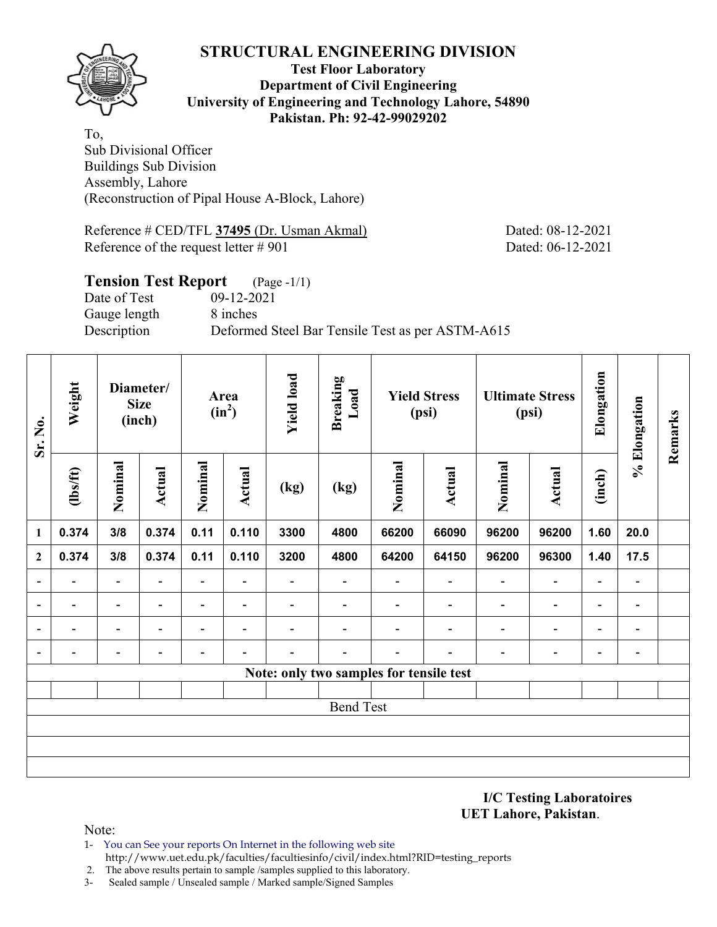

#### **Test Floor Laboratory Department of Civil Engineering University of Engineering and Technology Lahore, 54890 Pakistan. Ph: 92-42-99029202**

To, Sub Divisional Officer Buildings Sub Division Assembly, Lahore (Reconstruction of Pipal House A-Block, Lahore)

Reference # CED/TFL **37495** (Dr. Usman Akmal) Dated: 08-12-2021 Reference of the request letter # 901 Dated: 06-12-2021

## **Tension Test Report** (Page -1/1) Date of Test 09-12-2021 Gauge length 8 inches Description Deformed Steel Bar Tensile Test as per ASTM-A615

| Sr. No.                  | Weight                   |                              | Diameter/<br><b>Size</b><br>(inch) |                          | Area<br>$(in^2)$         | <b>Yield load</b>        | <b>Breaking</b><br>Load                 |                          | <b>Yield Stress</b><br>(psi) |                          | <b>Ultimate Stress</b><br>(psi) | Elongation               | % Elongation             | Remarks |
|--------------------------|--------------------------|------------------------------|------------------------------------|--------------------------|--------------------------|--------------------------|-----------------------------------------|--------------------------|------------------------------|--------------------------|---------------------------------|--------------------------|--------------------------|---------|
|                          | $\frac{2}{10}$           | Nominal                      | <b>Actual</b>                      | Nominal                  | Actual                   | (kg)                     | (kg)                                    | Nominal                  | Actual                       | Nominal                  | <b>Actual</b>                   | (inch)                   |                          |         |
| $\mathbf{1}$             | 0.374                    | 3/8                          | 0.374                              | 0.11                     | 0.110                    | 3300                     | 4800                                    | 66200                    | 66090                        | 96200                    | 96200                           | 1.60                     | 20.0                     |         |
| $\boldsymbol{2}$         | 0.374                    | 3/8                          | 0.374                              | 0.11                     | 0.110                    | 3200                     | 4800                                    | 64200                    | 64150                        | 96200                    | 96300                           | 1.40                     | 17.5                     |         |
| $\blacksquare$           | Ξ.                       | $\blacksquare$               | $\overline{\phantom{a}}$           | $\overline{\phantom{a}}$ | $\overline{\phantom{a}}$ | Ξ.                       | $\overline{\phantom{0}}$                | $\overline{\phantom{0}}$ | $\overline{\phantom{a}}$     | $\overline{\phantom{a}}$ | $\overline{\phantom{a}}$        | $\blacksquare$           | $\overline{\phantom{a}}$ |         |
| $\overline{a}$           | $\overline{\phantom{0}}$ | $\overline{\phantom{a}}$     | $\overline{\phantom{a}}$           | -                        | $\overline{\phantom{a}}$ |                          | $\overline{\phantom{0}}$                | $\overline{\phantom{0}}$ | $\overline{\phantom{a}}$     | $\overline{\phantom{0}}$ | $\overline{\phantom{a}}$        | $\overline{\phantom{a}}$ | $\overline{\phantom{a}}$ |         |
| $\overline{\phantom{a}}$ | -                        | -                            | $\blacksquare$                     | $\overline{\phantom{0}}$ | $\blacksquare$           | $\overline{\phantom{0}}$ | $\overline{\phantom{0}}$                |                          | ۰                            | $\overline{\phantom{0}}$ | $\overline{\phantom{a}}$        | Ξ.                       | $\overline{\phantom{a}}$ |         |
| $\overline{\phantom{a}}$ | -                        | $\qquad \qquad \blacksquare$ | $\qquad \qquad \blacksquare$       |                          | $\overline{\phantom{a}}$ | -                        | $\overline{\phantom{0}}$                | -                        | $\overline{\phantom{a}}$     |                          | $\overline{\phantom{a}}$        | -                        | $\blacksquare$           |         |
|                          |                          |                              |                                    |                          |                          |                          | Note: only two samples for tensile test |                          |                              |                          |                                 |                          |                          |         |
|                          |                          |                              |                                    |                          |                          |                          |                                         |                          |                              |                          |                                 |                          |                          |         |
|                          |                          |                              |                                    |                          |                          |                          | <b>Bend Test</b>                        |                          |                              |                          |                                 |                          |                          |         |
|                          |                          |                              |                                    |                          |                          |                          |                                         |                          |                              |                          |                                 |                          |                          |         |
|                          |                          |                              |                                    |                          |                          |                          |                                         |                          |                              |                          |                                 |                          |                          |         |
|                          |                          |                              |                                    |                          |                          |                          |                                         |                          |                              |                          |                                 |                          |                          |         |

**I/C Testing Laboratoires UET Lahore, Pakistan**.

- 1- You can See your reports On Internet in the following web site http://www.uet.edu.pk/faculties/facultiesinfo/civil/index.html?RID=testing\_reports
- 2. The above results pertain to sample /samples supplied to this laboratory.
- 3- Sealed sample / Unsealed sample / Marked sample/Signed Samples